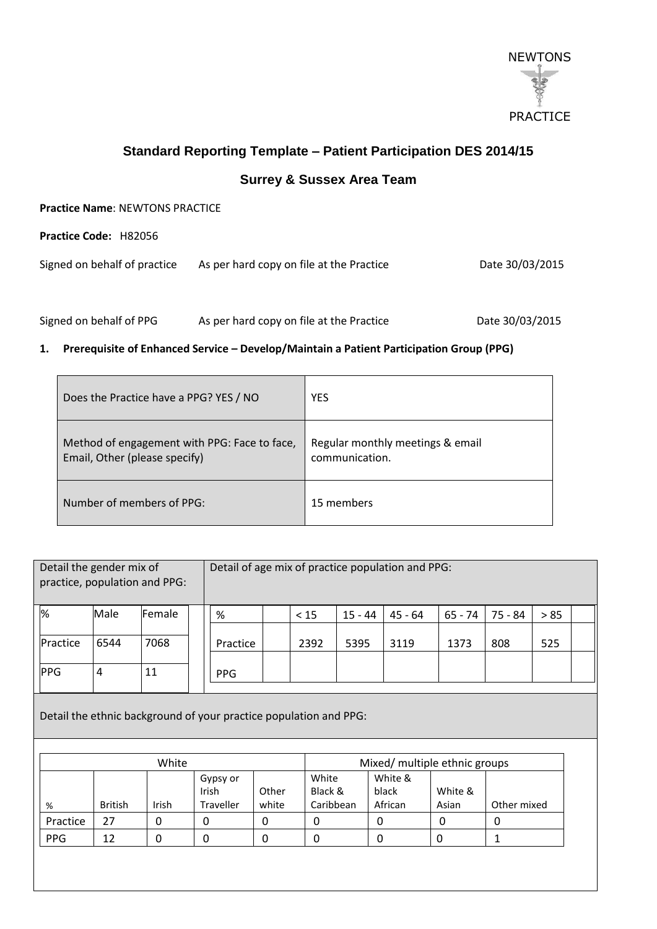

#### **Standard Reporting Template – Patient Participation DES 2014/15**

#### **Surrey & Sussex Area Team**

**Practice Name**: NEWTONS PRACTICE

**Practice Code:** H82056

| Signed on behalf of practice<br>As per hard copy on file at the Practice | Date 30/03/2015 |
|--------------------------------------------------------------------------|-----------------|
|--------------------------------------------------------------------------|-----------------|

Signed on behalf of PPG As per hard copy on file at the Practice Date 30/03/2015

#### **1. Prerequisite of Enhanced Service – Develop/Maintain a Patient Participation Group (PPG)**

| Does the Practice have a PPG? YES / NO                                        | <b>YES</b>                                         |
|-------------------------------------------------------------------------------|----------------------------------------------------|
| Method of engagement with PPG: Face to face,<br>Email, Other (please specify) | Regular monthly meetings & email<br>communication. |
| Number of members of PPG:                                                     | 15 members                                         |

| Detail the gender mix of |      | practice, population and PPG: | Detail of age mix of practice population and PPG: |  |      |         |         |           |         |      |  |
|--------------------------|------|-------------------------------|---------------------------------------------------|--|------|---------|---------|-----------|---------|------|--|
| %                        | Male | Female                        | %                                                 |  | < 15 | 15 - 44 | 45 - 64 | $65 - 74$ | 75 - 84 | > 85 |  |
|                          |      |                               |                                                   |  |      |         |         |           |         |      |  |
| Practice                 | 6544 | 7068                          | Practice                                          |  | 2392 | 5395    | 3119    | 1373      | 808     | 525  |  |
|                          |      |                               |                                                   |  |      |         |         |           |         |      |  |
| <b>PPG</b>               | 4    | 11                            | <b>PPG</b>                                        |  |      |         |         |           |         |      |  |
|                          |      |                               |                                                   |  |      |         |         |           |         |      |  |

Detail the ethnic background of your practice population and PPG:

|            |                | White        |                                | Mixed/ multiple ethnic groups |                               |                             |                  |             |
|------------|----------------|--------------|--------------------------------|-------------------------------|-------------------------------|-----------------------------|------------------|-------------|
| %          | <b>British</b> | <b>Irish</b> | Gypsy or<br>Irish<br>Traveller | Other<br>white                | White<br>Black &<br>Caribbean | White &<br>black<br>African | White &<br>Asian | Other mixed |
| Practice   | 27             |              |                                | 0                             |                               | 0                           | U                |             |
| <b>PPG</b> | 12             |              |                                | 0                             |                               | 0                           | υ                |             |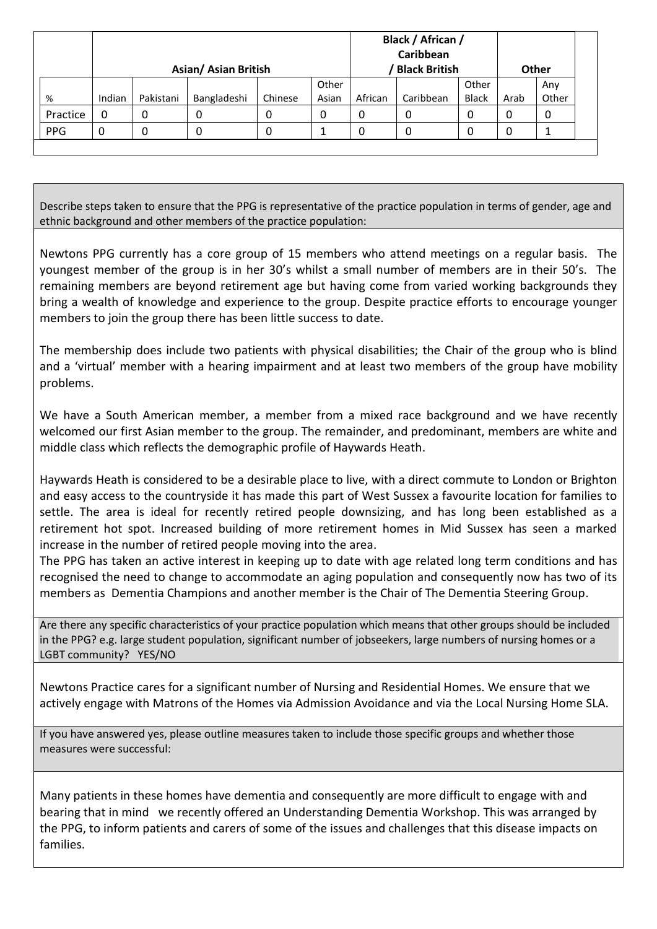|            |        |           | Asian/ Asian British |         |                | Black / African /<br><b>Black British</b> | <b>Other</b> |                       |      |              |
|------------|--------|-----------|----------------------|---------|----------------|-------------------------------------------|--------------|-----------------------|------|--------------|
| %          | Indian | Pakistani | Bangladeshi          | Chinese | Other<br>Asian | African                                   | Caribbean    | Other<br><b>Black</b> | Arab | Any<br>Other |
| Practice   | 0      | 0         |                      | 0       | 0              | 0                                         | 0            | 0                     | 0    | 0            |
| <b>PPG</b> | 0      | 0         |                      |         |                |                                           | 0            | 0                     | 0    |              |

Describe steps taken to ensure that the PPG is representative of the practice population in terms of gender, age and ethnic background and other members of the practice population:

Newtons PPG currently has a core group of 15 members who attend meetings on a regular basis. The youngest member of the group is in her 30's whilst a small number of members are in their 50's. The remaining members are beyond retirement age but having come from varied working backgrounds they bring a wealth of knowledge and experience to the group. Despite practice efforts to encourage younger members to join the group there has been little success to date.

The membership does include two patients with physical disabilities; the Chair of the group who is blind and a 'virtual' member with a hearing impairment and at least two members of the group have mobility problems.

We have a South American member, a member from a mixed race background and we have recently welcomed our first Asian member to the group. The remainder, and predominant, members are white and middle class which reflects the demographic profile of Haywards Heath.

Haywards Heath is considered to be a desirable place to live, with a direct commute to London or Brighton and easy access to the countryside it has made this part of West Sussex a favourite location for families to settle. The area is ideal for recently retired people downsizing, and has long been established as a retirement hot spot. Increased building of more retirement homes in Mid Sussex has seen a marked increase in the number of retired people moving into the area.

The PPG has taken an active interest in keeping up to date with age related long term conditions and has recognised the need to change to accommodate an aging population and consequently now has two of its members as Dementia Champions and another member is the Chair of The Dementia Steering Group.

Are there any specific characteristics of your practice population which means that other groups should be included in the PPG? e.g. large student population, significant number of jobseekers, large numbers of nursing homes or a LGBT community? YES/NO

Newtons Practice cares for a significant number of Nursing and Residential Homes. We ensure that we actively engage with Matrons of the Homes via Admission Avoidance and via the Local Nursing Home SLA.

If you have answered yes, please outline measures taken to include those specific groups and whether those measures were successful:

Many patients in these homes have dementia and consequently are more difficult to engage with and bearing that in mind we recently offered an Understanding Dementia Workshop. This was arranged by the PPG, to inform patients and carers of some of the issues and challenges that this disease impacts on families.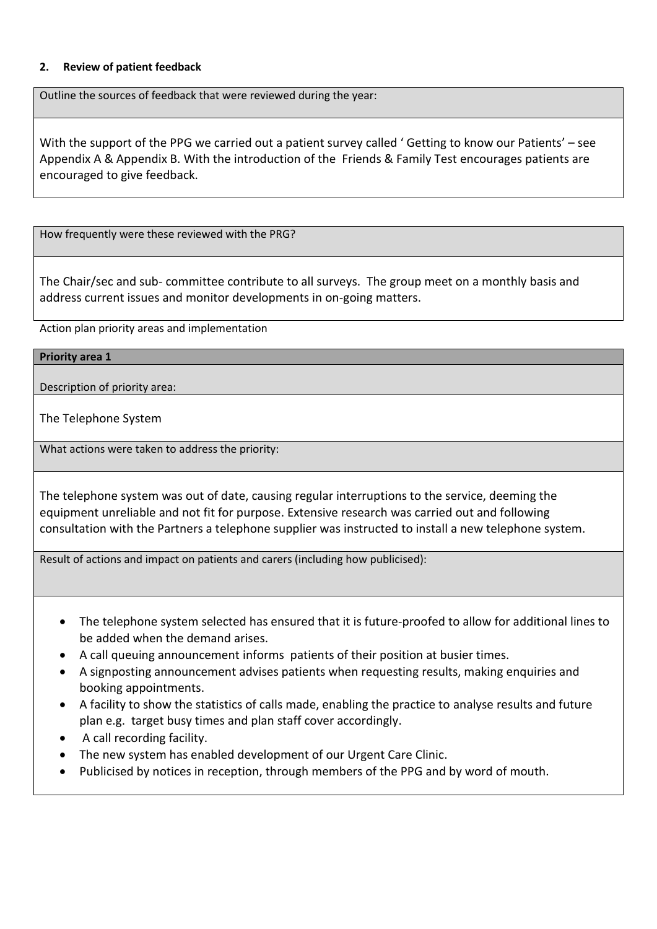#### **2. Review of patient feedback**

Outline the sources of feedback that were reviewed during the year:

With the support of the PPG we carried out a patient survey called ' Getting to know our Patients' – see Appendix A & Appendix B. With the introduction of the Friends & Family Test encourages patients are encouraged to give feedback.

How frequently were these reviewed with the PRG?

The Chair/sec and sub- committee contribute to all surveys. The group meet on a monthly basis and address current issues and monitor developments in on-going matters.

Action plan priority areas and implementation

#### **Priority area 1**

Description of priority area:

The Telephone System

What actions were taken to address the priority:

The telephone system was out of date, causing regular interruptions to the service, deeming the equipment unreliable and not fit for purpose. Extensive research was carried out and following consultation with the Partners a telephone supplier was instructed to install a new telephone system.

Result of actions and impact on patients and carers (including how publicised):

- The telephone system selected has ensured that it is future-proofed to allow for additional lines to be added when the demand arises.
- A call queuing announcement informs patients of their position at busier times.
- A signposting announcement advises patients when requesting results, making enquiries and booking appointments.
- A facility to show the statistics of calls made, enabling the practice to analyse results and future plan e.g. target busy times and plan staff cover accordingly.
- A call recording facility.
- The new system has enabled development of our Urgent Care Clinic.
- Publicised by notices in reception, through members of the PPG and by word of mouth.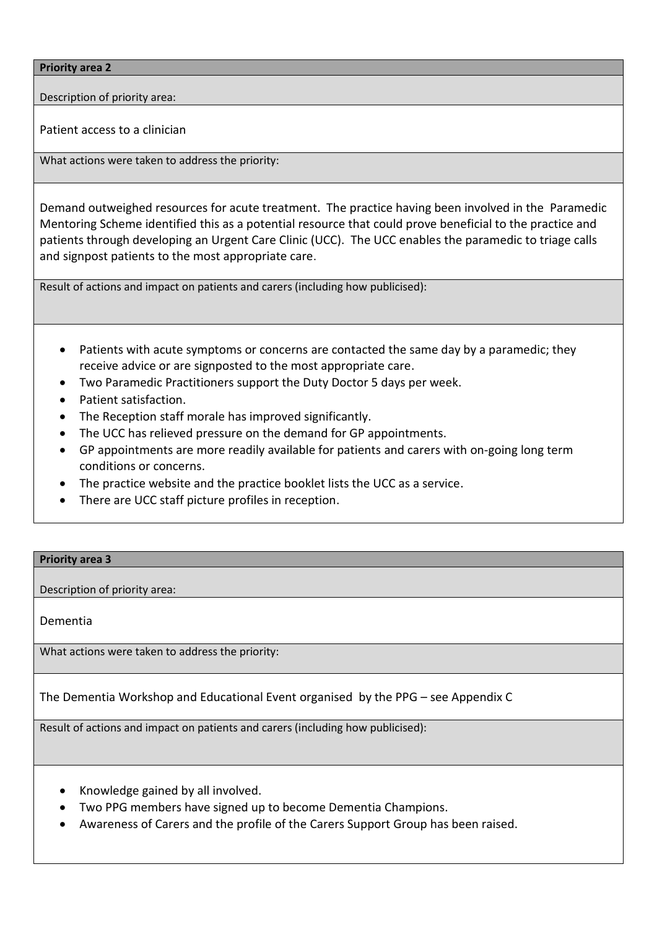#### **Priority area 2**

Description of priority area:

Patient access to a clinician

What actions were taken to address the priority:

Demand outweighed resources for acute treatment. The practice having been involved in the Paramedic Mentoring Scheme identified this as a potential resource that could prove beneficial to the practice and patients through developing an Urgent Care Clinic (UCC). The UCC enables the paramedic to triage calls and signpost patients to the most appropriate care.

Result of actions and impact on patients and carers (including how publicised):

- Patients with acute symptoms or concerns are contacted the same day by a paramedic; they receive advice or are signposted to the most appropriate care.
- Two Paramedic Practitioners support the Duty Doctor 5 days per week.
- Patient satisfaction.
- The Reception staff morale has improved significantly.
- The UCC has relieved pressure on the demand for GP appointments.
- GP appointments are more readily available for patients and carers with on-going long term conditions or concerns.
- The practice website and the practice booklet lists the UCC as a service.
- There are UCC staff picture profiles in reception.

#### **Priority area 3**

Description of priority area:

Dementia

What actions were taken to address the priority:

The Dementia Workshop and Educational Event organised by the PPG – see Appendix C

Result of actions and impact on patients and carers (including how publicised):

- Knowledge gained by all involved.
- Two PPG members have signed up to become Dementia Champions.
- Awareness of Carers and the profile of the Carers Support Group has been raised.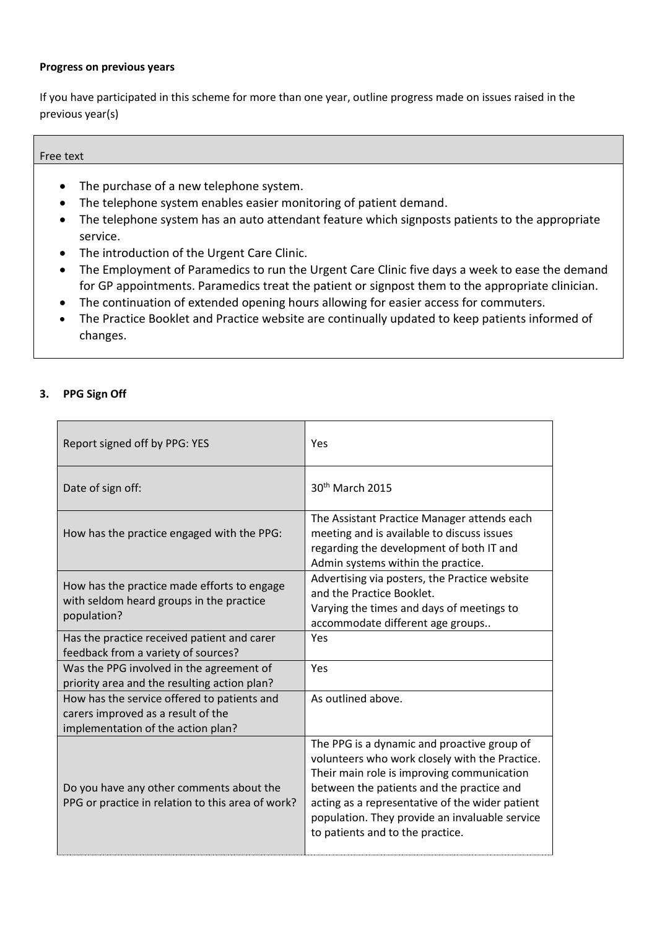#### **Progress on previous years**

If you have participated in this scheme for more than one year, outline progress made on issues raised in the previous year(s)

#### Free text

- The purchase of a new telephone system.
- The telephone system enables easier monitoring of patient demand.
- The telephone system has an auto attendant feature which signposts patients to the appropriate service.
- The introduction of the Urgent Care Clinic.
- The Employment of Paramedics to run the Urgent Care Clinic five days a week to ease the demand for GP appointments. Paramedics treat the patient or signpost them to the appropriate clinician.
- The continuation of extended opening hours allowing for easier access for commuters.
- The Practice Booklet and Practice website are continually updated to keep patients informed of changes.

#### **3. PPG Sign Off**

| Report signed off by PPG: YES                                                                                           | Yes                                                                                                                                                                                                                                                                                                                               |
|-------------------------------------------------------------------------------------------------------------------------|-----------------------------------------------------------------------------------------------------------------------------------------------------------------------------------------------------------------------------------------------------------------------------------------------------------------------------------|
| Date of sign off:                                                                                                       | 30 <sup>th</sup> March 2015                                                                                                                                                                                                                                                                                                       |
| How has the practice engaged with the PPG:                                                                              | The Assistant Practice Manager attends each<br>meeting and is available to discuss issues<br>regarding the development of both IT and<br>Admin systems within the practice.                                                                                                                                                       |
| How has the practice made efforts to engage<br>with seldom heard groups in the practice<br>population?                  | Advertising via posters, the Practice website<br>and the Practice Booklet.<br>Varying the times and days of meetings to<br>accommodate different age groups                                                                                                                                                                       |
| Has the practice received patient and carer<br>feedback from a variety of sources?                                      | Yes                                                                                                                                                                                                                                                                                                                               |
| Was the PPG involved in the agreement of<br>priority area and the resulting action plan?                                | Yes                                                                                                                                                                                                                                                                                                                               |
| How has the service offered to patients and<br>carers improved as a result of the<br>implementation of the action plan? | As outlined above.                                                                                                                                                                                                                                                                                                                |
| Do you have any other comments about the<br>PPG or practice in relation to this area of work?                           | The PPG is a dynamic and proactive group of<br>volunteers who work closely with the Practice.<br>Their main role is improving communication<br>between the patients and the practice and<br>acting as a representative of the wider patient<br>population. They provide an invaluable service<br>to patients and to the practice. |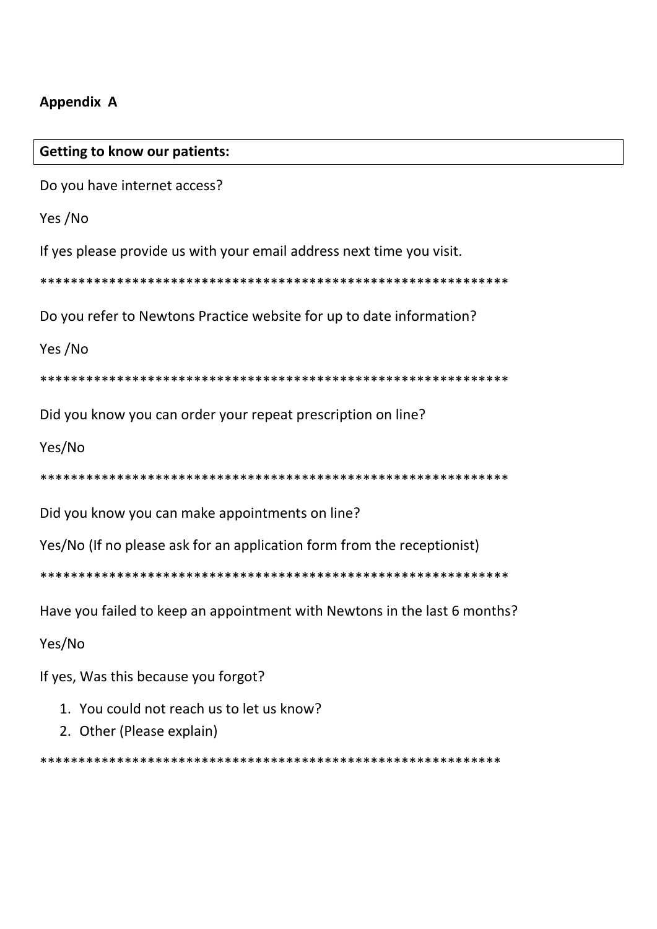## Appendix A

| Getting to know our patients:                                             |
|---------------------------------------------------------------------------|
| Do you have internet access?                                              |
| Yes /No                                                                   |
| If yes please provide us with your email address next time you visit.     |
|                                                                           |
| Do you refer to Newtons Practice website for up to date information?      |
| Yes /No                                                                   |
|                                                                           |
| Did you know you can order your repeat prescription on line?              |
| Yes/No                                                                    |
|                                                                           |
| Did you know you can make appointments on line?                           |
| Yes/No (If no please ask for an application form from the receptionist)   |
|                                                                           |
| Have you failed to keep an appointment with Newtons in the last 6 months? |
| Yes/No                                                                    |
| If yes, Was this because you forgot?                                      |
| 1. You could not reach us to let us know?                                 |
| 2. Other (Please explain)                                                 |
|                                                                           |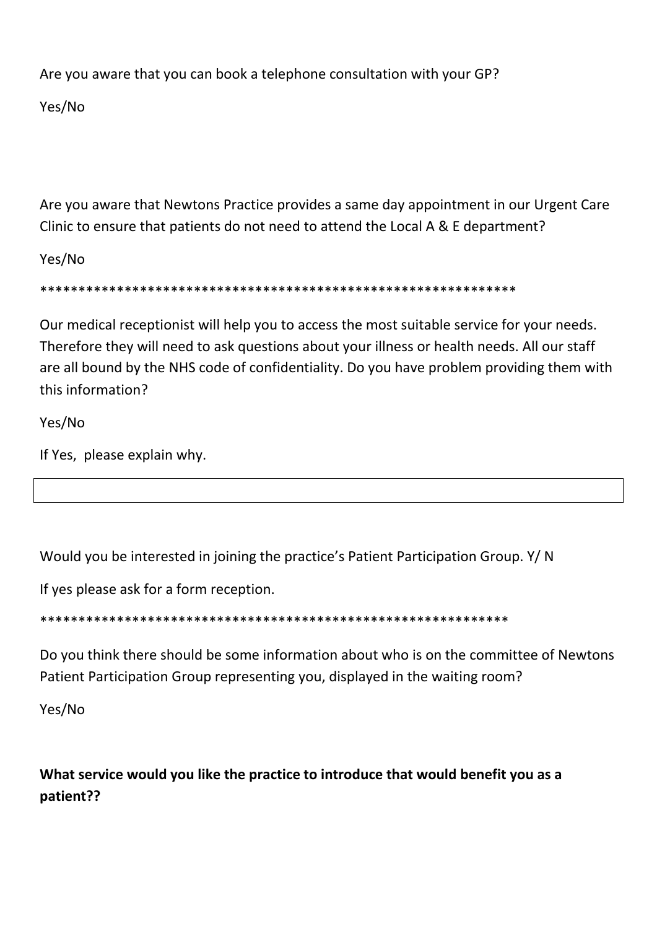Are you aware that you can book a telephone consultation with your GP?

Yes/No

Are you aware that Newtons Practice provides a same day appointment in our Urgent Care Clinic to ensure that patients do not need to attend the Local A & E department?

Yes/No

Our medical receptionist will help you to access the most suitable service for your needs. Therefore they will need to ask questions about your illness or health needs. All our staff are all bound by the NHS code of confidentiality. Do you have problem providing them with this information?

Yes/No

If Yes, please explain why.

Would you be interested in joining the practice's Patient Participation Group. Y/N

If yes please ask for a form reception.

Do you think there should be some information about who is on the committee of Newtons Patient Participation Group representing you, displayed in the waiting room?

Yes/No

What service would you like the practice to introduce that would benefit you as a patient??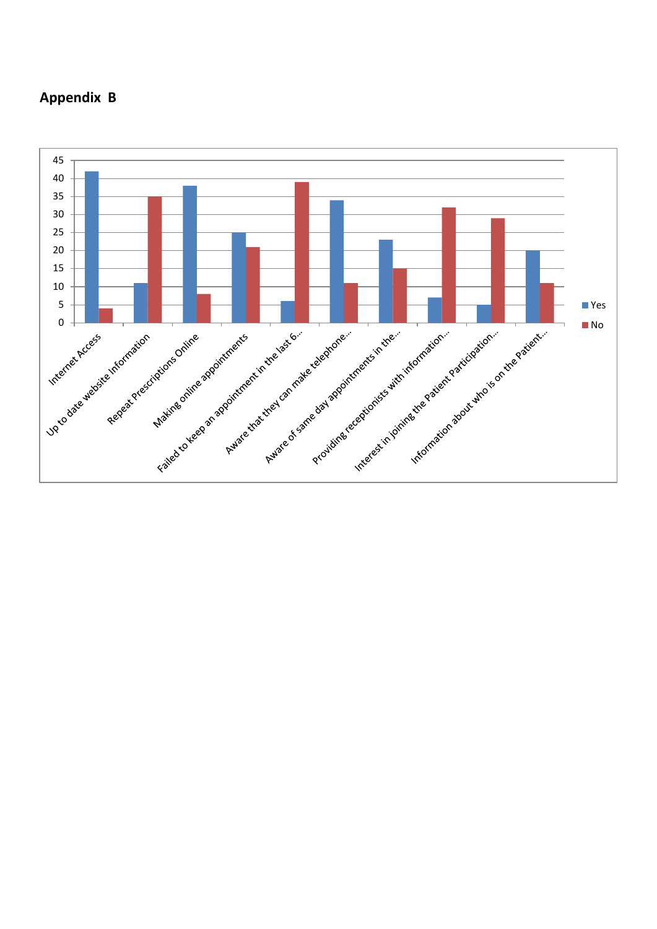## **Appendix B**

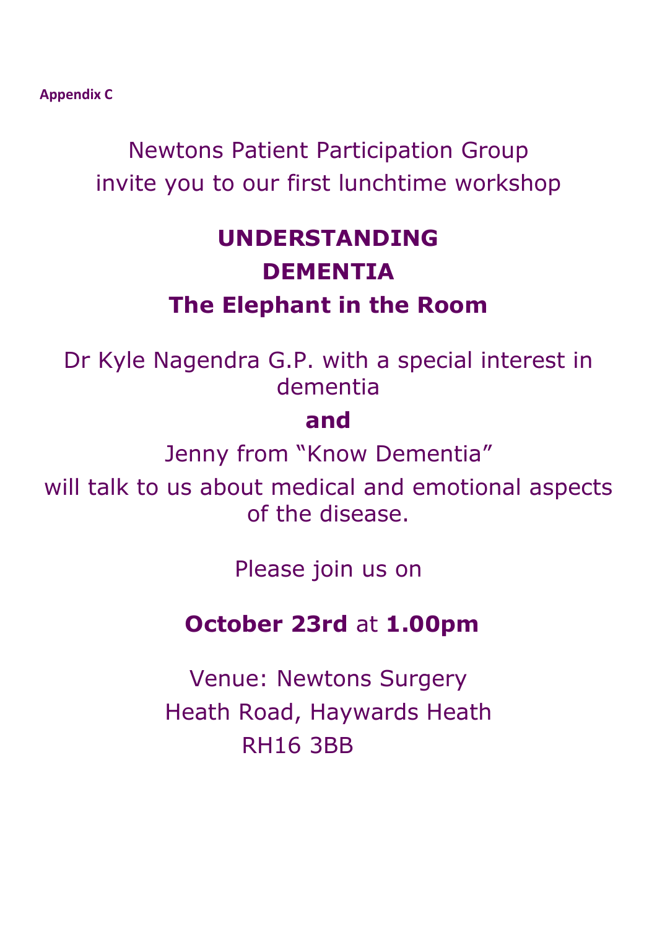**Appendix C**

Newtons Patient Participation Group invite you to our first lunchtime workshop

## **UNDERSTANDING DEMENTIA The Elephant in the Room**

Dr Kyle Nagendra G.P. with a special interest in dementia

## **and**

Jenny from "Know Dementia"

will talk to us about medical and emotional aspects of the disease.

Please join us on

## **October 23rd** at **1.00pm**

Venue: Newtons Surgery Heath Road, Haywards Heath RH16 3BB